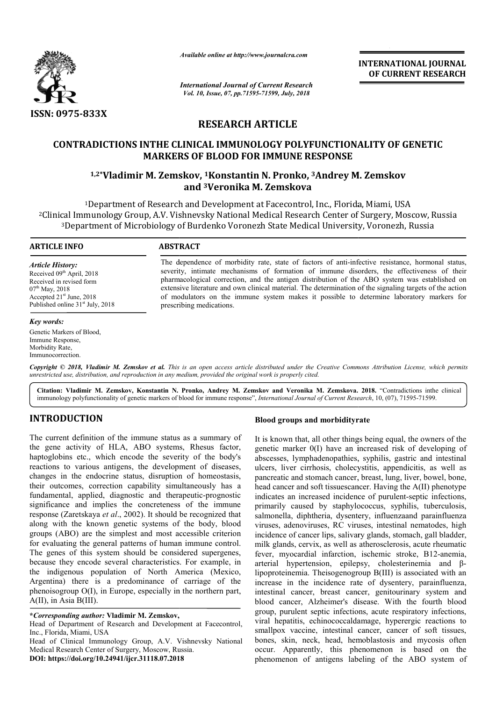

*Available online at http://www.journalcra.com*

*International Journal of Current Research Vol. 10, Issue, 07, pp.71595-71599, July, 2018*

**INTERNATIONAL JOURNAL OF CURRENT RESEARCH**

# **RESEARCH ARTICLE**

# **CONTRADICTIONS INTHE CLINICAL IMMUNOLOGY POLYFUNCTIONALITY OF GENETIC MARKERS OF BLOOD FOR IMMUNE RESPONSE 1,2\*Vladimir M. Zemskow, 1Konstand IMMUNOLOGY POLYFUNCTIONALITY OF MARKERS OF BLOOD FOR IMMUNE RESPONSE<br>1,2\*Vladimir M. Zemskov, <sup>1</sup>Konstantin N. Pronko, <sup>3</sup>Andrey M. Zemskov**

# **and 3Veronika M. Zemskova**

1Department of Research and Development at Facecontrol, Inc., Florida, Miami, USA 2Clinical Immunology Group, A.V. Vishnevsky National Medical Research Center of Surgery, Moscow, Russia <sup>1</sup>Department of Research and Development at Facecontrol, Inc., Florida, Miami, USA<br>cal Immunology Group, A.V. Vishnevsky National Medical Research Center of Surgery, Moscow, I<br>3Department of Microbiology of Burdenko Voron <sup>1</sup>Department of Research and Development at Facecontrol, Inc., Florida, Miami, USA<br>Clinical Immunology Group, A.V. Vishnevsky National Medical Research Center of Surgery, Moscow, I<br><sup>3</sup>Department of Microbiology of Burdenk

### **ARTICLE INFO ABSTRACT**

*Article History:* Received 09<sup>th</sup> April, 2018 Received in revised form  $07<sup>th</sup>$  May, 2018 Accepted 21<sup>st</sup> June, 2018 Published online  $31<sup>st</sup>$  July, 2018

#### *Key words:*

Genetic Markers of Blood, Immune Response, Morbidity Rate, Immunocorrection.

The dependence of morbidity rate, state of factors of anti-infective resistance, hormonal status, severity, intimate mechanisms of formation of immune disorders, the effectiveness of their pharmacological correction, and the antigen distribution of the ABO system was established on extensive literature and own clinical material. The determination of the signaling targets of the action of modulators on the immune system makes it possible to determine laboratory markers for prescribing medications. indence of morbidity rate, state of factors of anti-infective resistance, hormonal staintimate mechanisms of formation of immune disorders, the effectiveness of the original correction, and the antigen distribution of the

Copyright © 2018, Vladimir M. Zemskov et al. This is an open access article distributed under the Creative Commons Attribution License, which permits *unrestricted use, distribution, and reproduction in any medium, provided the original work is properly cited.*

Citation: Vladimir M. Zemskov, Konstantin N. Pronko, Andrey M. Zemskov and Veronika M. Zemskova. 2018. "Contradictions inthe clinical immunology polyfunctionality of genetic markers of blood for immune response", *International Journal of Current Research*, 10, (07), 71595-71599.

## **INTRODUCTION**

The current definition of the immune status as a summary of the gene activity of HLA, ABO systems, Rhesus factor, haptoglobins etc., which encode the severity of the body's reactions to various antigens, the development of diseases, changes in the endocrine status, disruption of homeostasis, their outcomes, correction capability simultaneously has a fundamental, applied, diagnostic and therapeutic-prognostic significance and implies the concreteness of the immune response (Zaretskaya et al., 2002). It should be recognized that along with the known genetic systems of the body, blood groups (ABO) are the simplest and most accessible criterion for evaluating the general patterns of human immune control. The genes of this system should be considered supergenes, because they encode several characteristics. For example, in the indigenous population of North America (Mexico, Argentina) there is a predominance of carriage of the phenoisogroup O(I), in Europe, especially in the northern part, A(II), in Asia B(III). e status, disruption of homeostasis,<br>on capability simultaneously has a<br>iagnostic and therapeutic-prognostic

**\****Corresponding author:* **Vladimir M. Zemskov,**

Head of Department of Research and Development at Facecontrol, Inc., Florida, Miami, USA

Head of Clinical Immunology Group, A.V. Vishnevsky National Medical Research Center of Surgery, Moscow, Russia.

**DOI: https://doi.org/10.24941/ijcr.31118.07.2018**

**EXECT:** Status as a summary of It is known that, all other things by<br>stems, Rhesus factor, genetic marker 0(I) have an increase everty of the body's<br>abscesses, lymphadenopathies, synteprehent of diseases, ulcers, liver ci It is known that, all other things being equal, the owners of the genetic marker 0(I) have an increased risk of developing of It is known that, all other things being equal, the owners of the genetic marker 0(I) have an increased risk of developing of abscesses, lymphadenopathies, syphilis, gastric and intestinal ulcers, liver cirrhosis, cholecystitis, appendicitis, as well as pancreatic and stomach cancer, breast, lung, liver, bowel, bone, pancreatic and stomach cancer, breast, lung, liver, bowel, bone, head cancer and soft tissuescancer. Having the A(II) phenotype indicates an increased incidence of purulent-septic infections, primarily caused by staphylococcus, syphilis, tuberculosis, salmonella, diphtheria, dysentery, influenzaand parainfluenza viruses, adenoviruses, RC viruses, intestinal nematodes, high incidence of cancer lips, salivary glands, stomach, gall bladder, milk glands, cervix, as well as atherosclerosis, acute rheumatic milk glands, cervix, as well as atherosclerosis, acute rheumatic<br>fever, myocardial infarction, ischemic stroke, B12-anemia, arterial hypertension, epilepsy, cholesterinemia and βlipoproteinemia. Theisogenogroup B(III) is associated with an increase in the incidence rate of dysentery, parainfluenza, intestinal cancer, breast cancer, genitourinary system and blood cancer, Alzheimer's disease. With the fourth blood group, purulent septic infections, acute respiratory infections, viral hepatitis, echinococcaldamage, hyperergic reactions to smallpox vaccine, intestinal cancer, cancer of soft tissues, bones, skin, neck, head, hemoblastosis and mycosis often occur. Apparently, this phenomenon is based on the bones, skin, neck, head, hemoblastosis and mycosis often<br>occur. Apparently, this phenomenon is based on the<br>phenomenon of antigens labeling of the ABO system of by staphylococcus, syphilis, tuberculosis,<br>eria, dysentery, influenzaand parainfluenza<br>ses, RC viruses, intestinal nematodes, high<br>lips, salivary glands, stomach, gall bladder, increase in the incidence rate of dysentery, parainfluenza, intestinal cancer, breast cancer, genitourinary system and blood cancer, Alzheimer's disease. With the fourth blood group, purulent septic infections, acute respi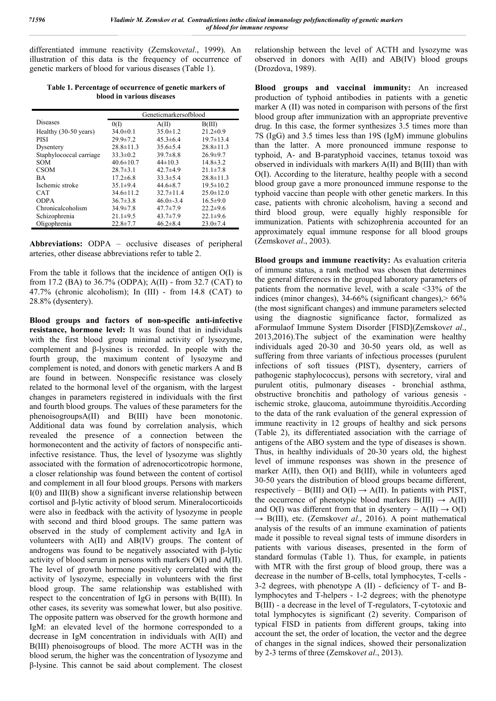differentiated immune reactivity (Zemskov*etal*., 1999). An illustration of this data is the frequency of occurrence of genetic markers of blood for various diseases (Table 1).

**Table 1. Percentage of occurrence of genetic markers of blood in various diseases**

|                         | Geneticmarkersofblood |                 |                 |
|-------------------------|-----------------------|-----------------|-----------------|
| <b>Diseases</b>         | 0(1)                  | A(II)           | B(III)          |
| Healthy (30-50 years)   | $34.0 \pm 0.1$        | $35.0 \pm 1.2$  | $21.2 \pm 0.9$  |
| <b>PISI</b>             | $29.9 \pm 7.2$        | $45.3 \pm 6.4$  | $19.7 \pm 13.4$ |
| Dysentery               | $28.8 \pm 11.3$       | $35.6 \pm 5.4$  | $28.8 \pm 11.3$ |
| Staphylococcal carriage | $33.3 \pm 0.2$        | $39.7 \pm 8.8$  | $26.9 \pm 9.7$  |
| <b>SOM</b>              | $40.6 \pm 10.7$       | $44\pm10.3$     | $14.8 \pm 3.2$  |
| <b>CSOM</b>             | $28.7 \pm 3.1$        | 42.7 $\pm$ 4.9  | $21.1 \pm 7.8$  |
| <b>BA</b>               | $17.2 \pm 6.8$        | $33.3 \pm 5.4$  | $28.8 \pm 11.3$ |
| Ischemic stroke         | $35.1\pm9.4$          | 44.6 $\pm$ 8.7  | $19.5 \pm 10.2$ |
| <b>CAT</b>              | $34.6 \pm 11.2$       | $32.7 \pm 11.4$ | $25.0 \pm 12.0$ |
| <b>ODPA</b>             | $36.7 \pm 3.8$        | $46.0 \pm 3.4$  | $16.5 \pm 9.0$  |
| Chronicalcoholism       | $34.9 \pm 7.8$        | $47.7 \pm 7.9$  | $22.2 \pm 9.6$  |
| Schizophrenia           | $21.1\pm9.5$          | $43.7 \pm 7.9$  | $22.1 \pm 9.6$  |
| Oligophrenia            | $22.8 \pm 7.7$        | $46.2 \pm 8.4$  | $23.0 \pm 7.4$  |

**Abbreviations:** ODPA – occlusive diseases of peripheral arteries, other disease abbreviations refer to table 2.

From the table it follows that the incidence of antigen O(I) is from 17.2 (BA) to 36.7% (ODPA); A(II) - from 32.7 (CAT) to 47.7% (chronic alcoholism); In (III) - from 14.8 (CAT) to 28.8% (dysentery).

**Blood groups and factors of non-specific anti-infective resistance, hormone level:** It was found that in individuals with the first blood group minimal activity of lysozyme, complement and β-lysines is recorded. In people with the fourth group, the maximum content of lysozyme and complement is noted, and donors with genetic markers A and B are found in between. Nonspecific resistance was closely related to the hormonal level of the organism, with the largest changes in parameters registered in individuals with the first and fourth blood groups. The values of these parameters for the phenoisogroupsA(II) and B(III) have been monotonic. Additional data was found by correlation analysis, which revealed the presence of a connection between the hormonecontent and the activity of factors of nonspecific antiinfective resistance. Thus, the level of lysozyme was slightly associated with the formation of adrenocorticotropic hormone, a closer relationship was found between the content of cortisol and complement in all four blood groups. Persons with markers I(0) and III(B) show a significant inverse relationship between cortisol and β-lytic activity of blood serum. Mineralocorticoids were also in feedback with the activity of lysozyme in people with second and third blood groups. The same pattern was observed in the study of complement activity and IgA in volunteers with A(II) and AB(IV) groups. The content of androgens was found to be negatively associated with β-lytic activity of blood serum in persons with markers O(I) and A(II). The level of growth hormone positively correlated with the activity of lysozyme, especially in volunteers with the first blood group. The same relationship was established with respect to the concentration of IgG in persons with B(III). In other cases, its severity was somewhat lower, but also positive. The opposite pattern was observed for the growth hormone and IgM: an elevated level of the hormone corresponded to a decrease in IgM concentration in individuals with A(II) and B(III) phenoisogroups of blood. The more ACTH was in the blood serum, the higher was the concentration of lysozyme and β-lysine. This cannot be said about complement. The closest

relationship between the level of ACTH and lysozyme was observed in donors with A(II) and AB(IV) blood groups (Drozdova, 1989).

**Blood groups and vaccinal immunity:** An increased production of typhoid antibodies in patients with a genetic marker A (II) was noted in comparison with persons of the first blood group after immunization with an appropriate preventive drug. In this case, the former synthesizes 3.5 times more than 7S (IgG) and 3.5 times less than 19S (IgM) immune globulins than the latter. A more pronounced immune response to typhoid, A- and B-paratyphoid vaccines, tetanus toxoid was observed in individuals with markers A(II) and B(III) than with O(I). According to the literature, healthy people with a second blood group gave a more pronounced immune response to the typhoid vaccine than people with other genetic markers. In this case, patients with chronic alcoholism, having a second and third blood group, were equally highly responsible for immunization. Patients with schizophrenia accounted for an approximately equal immune response for all blood groups (Zemskov*et al*., 2003).

**Blood groups and immune reactivity:** As evaluation criteria of immune status, a rank method was chosen that determines the general differences in the grouped laboratory parameters of patients from the normative level, with a scale <33% of the indices (minor changes),  $34-66%$  (significant changes),  $> 66%$ (the most significant changes) and immune parameters selected using the diagnostic significance factor, formalized as aFormulaof Immune System Disorder [FISD](Zemskov*et al*., 2013,2016).The subject of the examination were healthy individuals aged 20-30 and 30-50 years old, as well as suffering from three variants of infectious processes (purulent infections of soft tissues (PIST), dysentery, carriers of pathogenic staphylococcus), persons with secretory, viral and purulent otitis, pulmonary diseases - bronchial asthma, obstructive bronchitis and pathology of various genesis ischemic stroke, glaucoma, autoimmune thyroiditis.According to the data of the rank evaluation of the general expression of immune reactivity in 12 groups of healthy and sick persons (Table 2), its differentiated association with the carriage of antigens of the ABO system and the type of diseases is shown. Thus, in healthy individuals of 20-30 years old, the highest level of immune responses was shown in the presence of marker A(II), then O(I) and B(III), while in volunteers aged 30-50 years the distribution of blood groups became different, respectively – B(III) and  $O(I) \rightarrow A(II)$ . In patients with PIST, the occurrence of phenotypic blood markers  $B(III) \rightarrow A(II)$ and O(I) was different from that in dysentery – A(II)  $\rightarrow$  O(I)  $\rightarrow$  B(III), etc. (Zemskov*et al.*, 2016). A point mathematical analysis of the results of an immune examination of patients made it possible to reveal signal tests of immune disorders in patients with various diseases, presented in the form of standard formulas (Table 1). Thus, for example, in patients with MTR with the first group of blood group, there was a decrease in the number of B-cells, total lymphocytes, T-cells - 3-2 degrees, with phenotype A (II) - deficiency of T- and Blymphocytes and T-helpers - 1-2 degrees; with the phenotype B(III) - a decrease in the level of T-regulators, T-cytotoxic and total lymphocytes is significant (2) severity. Comparison of typical FISD in patients from different groups, taking into account the set, the order of location, the vector and the degree of changes in the signal indices, showed their personalization by 2-3 terms of three (Zemskov*et al*., 2013).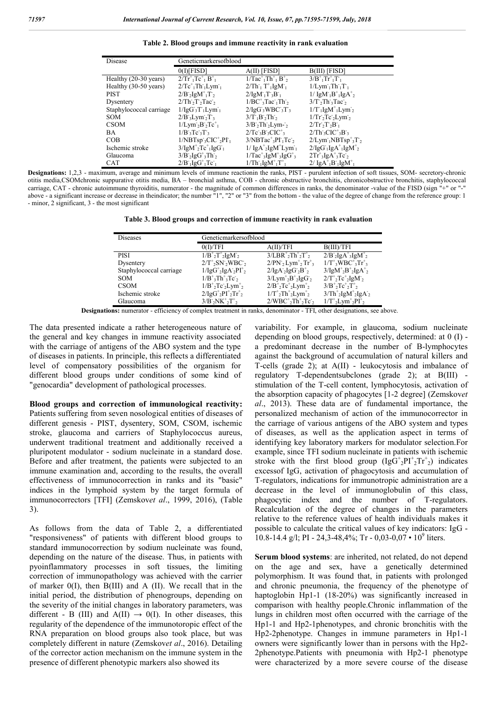**Table 2. Blood groups and immune reactivity in rank evaluation**

| Disease                         | Geneticmarkersofblood                                                                      |                                                                                                   |                                                                                               |
|---------------------------------|--------------------------------------------------------------------------------------------|---------------------------------------------------------------------------------------------------|-----------------------------------------------------------------------------------------------|
|                                 | $0$ (D[FISD]                                                                               | $A(II)$ [FISD]                                                                                    | $B(III)$ [FISD]                                                                               |
| Healthy (20-30 years)           | $2/\text{Tr}^+{}_{1}\text{Tr}^+{}_{1}\text{B}^+{}_{1}$                                     | $1/Tac^+Th^+$ <sub>1</sub> $B^+$ <sub>2</sub>                                                     | $3/B^+$ <sub>1</sub> Tr <sup>+</sup> <sub>1</sub> T <sub>1</sub>                              |
| Healthy $(30-50 \text{ years})$ | $2/Tc^+$ <sub>1</sub> Th <sub>1</sub> Lym <sub>1</sub>                                     | $2/Th_1 T_1$ IgM <sub>1</sub>                                                                     | $1/Lym1Th1T1$                                                                                 |
| <b>PIST</b>                     | $2/B$ <sub>2</sub> IgM <sup>+</sup> <sub>1</sub> T <sub>2</sub>                            | $2/[gM^T T^3B^T]$                                                                                 | $1/\lg M_1B_1^+lgA_2^+$                                                                       |
| Dysentery                       | $2/\text{Th } 2\text{Ta}$                                                                  | $1/BC^{\dagger}$ <sub>3</sub> Tac <sup>-1</sup> Th <sup>-2</sup>                                  | $3/T_2Th_3Tac_2$                                                                              |
| Staphylococcal carriage         | $1/[gG3T1Lym1]$                                                                            | $2/[qG3WBC3T3]$                                                                                   | $1/T_1$ IgM <sup>+</sup> <sub>1</sub> Lym <sup>-</sup> <sub>2</sub>                           |
| <b>SOM</b>                      | $2/B$ <sub>3</sub> Lym <sub>2</sub> T <sub>3</sub>                                         | $3/T_1B_2Th_2$                                                                                    | $1/\text{Tr}_2 \text{Tr}_2 \text{Lym}_2$                                                      |
| <b>CSOM</b>                     | $1/Lym2B2Te+1$                                                                             | $3/B$ , Th, Lym-                                                                                  | $2/\text{Tr}^{\cdot}\cdot \text{Tr}^{\cdot}\cdot \text{B}^{\cdot}$                            |
| <b>BA</b>                       | $1/B$ <sup>3</sup> $Tc$ <sup>3</sup> $T3$                                                  | $2/Tc$ ; $B$ ; $CIC^*$ ;                                                                          | $2/Th$ <sup>3</sup> CIC <sup><math>+</math></sup> <sub>3</sub> B <sup>-</sup> <sub>3</sub>    |
| COB                             | $1/NBTsp$ <sub>3</sub> $CIC^+{}_2PT_1$                                                     | $3/NBTac^3P\Gamma_1Tc_2$                                                                          | $2/Lym1NBTsp+3T2$                                                                             |
| Ischemic stroke                 | $3/[gM^{\dagger}_{2}Tc^{\dagger}_{1}]gG_{1}$                                               | $1/\text{IgA}^{\dagger}$ <sub>2</sub> IgM <sup>+</sup> Lym <sup>-</sup> <sub>1</sub>              | $2/[gG^{\dagger}][gA^{\dagger}][gM^{\dagger}](2)$                                             |
| Glaucoma                        | $3/B$ <sub>2</sub> $IgG^+$ <sub>3</sub> Th <sub>2</sub>                                    | $1/Tac^3$ , IgM <sup><math>+</math></sup> <sub>3</sub> IgG <sup><math>+</math></sup> <sub>3</sub> | $2Tr^{\dagger}$ <sub>3</sub> IgA <sup><math>\dagger</math></sup> <sub>3</sub> Tc <sub>2</sub> |
| <b>CAT</b>                      | $2/B$ <sup>-</sup> <sub>1</sub> IgG <sup>+</sup> <sub>1</sub> Tc <sup>-</sup> <sub>1</sub> | $1/Th_1IgM_1^+T_1^+$                                                                              | $2/\lg A^+_{1}B^-\lg M^+_{1}$                                                                 |

**Designations:** 1,2,3 - maximum, average and minimum levels of immune reactionin the ranks, PIST - purulent infection of soft tissues, SOM- secretory-chronic otitis media,CSOMchronic suppurative otitis media, BA – bronchial asthma, COB - chronic obstructive bronchitis, chronicobstructive bronchitis, staphylococcal carriage, CAT - chronic autoimmune thyroiditis, numerator - the magnitude of common differences in ranks, the denominator -value of the FISD (sign "+" or "-" above - a significant increase or decrease in theindicator; the number "1", "2" or "3" from the bottom - the value of the degree of change from the reference group: 1 - minor, 2 significant, 3 - the most significant

|  | Table 3. Blood groups and correction of immune reactivity in rank evaluation |  |  |
|--|------------------------------------------------------------------------------|--|--|
|  |                                                                              |  |  |

| <b>Diseases</b>         | Geneticmarkersofblood                                                                                           |                                                                                 |                                                                                         |
|-------------------------|-----------------------------------------------------------------------------------------------------------------|---------------------------------------------------------------------------------|-----------------------------------------------------------------------------------------|
|                         | O(I)/TFI                                                                                                        | A(II)/TFI                                                                       | B(III)/TFI                                                                              |
| PISI                    | $1/B^+$ , $T^+$ , $IgM^-$ ,                                                                                     | $3/LBR^+$ , $Th^+$ , $T^+$ ,                                                    | $2/B$ , $IgA^+$ , $IgM^+$ ,                                                             |
| Dysentery               | $2/T^{\dagger}$ <sub>2</sub> SN 2WBC 2                                                                          | $2/PN2Lym+2 Tr+3$                                                               | $1/T^{\dagger}$ <sub>3</sub> WBC <sup>+</sup> <sub>3</sub> Tr <sup>+</sup> <sub>3</sub> |
| Staphylococcal carriage | $1/[gG^{\dagger}$ <sub>2</sub> $[gA^{\dagger}$ <sub>2</sub> $Pl^{\dagger}$ <sub>2</sub>                         | $2/[gA_2]gG_2B_2^+$                                                             | $3/[gM^{+}{}_{2}B^{+}{}_{2}]gA^{+}{}_{2}$                                               |
| <b>SOM</b>              | $1/B^+$ <sub>3</sub> Th <sup>+</sup> <sub>3</sub> Tc <sub>2</sub>                                               | $3/Lym^+{}_{2}B^+{}_{2}IgG^-{}_{2}$                                             | $2/T^{\dagger}$ , Tc <sup>+</sup> , IgM <sup>-</sup> ,                                  |
| <b>CSOM</b>             | $1/B^+$ <sub>2</sub> Tc <sub>2</sub> Lym <sup>+</sup> <sub>2</sub>                                              | $2/B^+$ <sub>2</sub> Tc <sup>+</sup> <sub>2</sub> Lym <sup>+</sup> <sub>2</sub> | $3/B^{+}$ <sub>2</sub> T $c^{+}$ <sub>2</sub> T <sup>+</sup> <sub>2</sub>               |
| Ischemic stroke         | $2/[qG^{\dagger}_{2}PI^{\dagger}_{2}Tr^{\dagger}_{2}]$                                                          | $1/T^{\dagger}_{2}Th^{\dagger}_{2}Lym^{\dagger}_{2}$                            | $3/Th_{2}^{+}IgM_{2}^{+}IgA_{2}$                                                        |
| Glaucoma                | $3/B^{\dagger}$ <sub>2</sub> NK <sup><math>+</math></sup> <sub>2</sub> T <sup><math>+</math></sup> <sub>2</sub> | $2/WBC^{\dagger}{}_{2}Th^{\dagger}{}_{2}Te_{2}$                                 | $1/T^{\dagger}$ <sub>2</sub> Lym <sup>+</sup> <sub>2</sub> PI <sup>+</sup> <sub>2</sub> |

**Designations:** numerator - efficiency of complex treatment in ranks, denominator - TFI, other designations, see above.

The data presented indicate a rather heterogeneous nature of the general and key changes in immune reactivity associated with the carriage of antigens of the ABO system and the type of diseases in patients. In principle, this reflects a differentiated level of compensatory possibilities of the organism for different blood groups under conditions of some kind of "genocardia" development of pathological processes.

**Blood groups and correction of immunological reactivity:**  Patients suffering from seven nosological entities of diseases of different genesis - PIST, dysentery, SOM, CSOM, ischemic stroke, glaucoma and carriers of Staphylococcus aureus, underwent traditional treatment and additionally received a pluripotent modulator - sodium nucleinate in a standard dose. Before and after treatment, the patients were subjected to an immune examination and, according to the results, the overall effectiveness of immunocorrection in ranks and its "basic" indices in the lymphoid system by the target formula of immunocorrectors [TFI] (Zemskov*et al*., 1999, 2016), (Table 3).

As follows from the data of Table 2, a differentiated "responsiveness" of patients with different blood groups to standard immunocorrection by sodium nucleinate was found, depending on the nature of the disease. Thus, in patients with pyoinflammatory processes in soft tissues, the limiting correction of immunopathology was achieved with the carrier of marker  $0(I)$ , then  $B(III)$  and A (II). We recall that in the initial period, the distribution of phenogroups, depending on the severity of the initial changes in laboratory parameters, was different - B (III) and A(II)  $\rightarrow$  0(I). In other diseases, this regularity of the dependence of the immunotoropic effect of the RNA preparation on blood groups also took place, but was completely different in nature (Zemskov*et al*., 2016). Detailing of the corrector action mechanism on the immune system in the presence of different phenotypic markers also showed its

variability. For example, in glaucoma, sodium nucleinate depending on blood groups, respectively, determined: at 0 (I) a predominant decrease in the number of B-lymphocytes against the background of accumulation of natural killers and T-cells (grade 2); at A(II) - leukocytosis and imbalance of regulatory T-dependentsubclones (grade 2); at B(III) stimulation of the T-cell content, lymphocytosis, activation of the absorption capacity of phagocytes [1-2 degree] (Zemskov*et al*., 2013). These data are of fundamental importance, the personalized mechanism of action of the immunocorrector in the carriage of various antigens of the ABO system and types of diseases, as well as the application aspect in terms of identifying key laboratory markers for modulator selection.For example, since TFI sodium nucleinate in patients with ischemic stroke with the first blood group  $(Ig\overline{G}^+_{2}P I^+_{2}Tr^+_{2})$  indicates excessof IgG, activation of phagocytosis and accumulation of T-regulators, indications for immunotropic administration are a decrease in the level of immunoglobulin of this class, phagocytic index and the number of T-regulators. Recalculation of the degree of changes in the parameters relative to the reference values of health individuals makes it possible to calculate the critical values of key indicators: IgG - 10.8-14.4 g/l; PI - 24,3-48,4%; Tr - 0,03-0,07 • 10<sup>9</sup> liters.

**Serum blood systems**: are inherited, not related, do not depend on the age and sex, have a genetically determined polymorphism. It was found that, in patients with prolonged and chronic pneumonia, the frequency of the phenotype of haptoglobin Hp1-1 (18-20%) was significantly increased in comparison with healthy people.Chronic inflammation of the lungs in children most often occurred with the carriage of the Hp1-1 and Hp2-1phenotypes, and chronic bronchitis with the Hp2-2phenotype. Changes in immune parameters in Hp1-1 owners were significantly lower than in persons with the Hp2- 2phenotype.Patients with pneumonia with Hp2-1 phenotype were characterized by a more severe course of the disease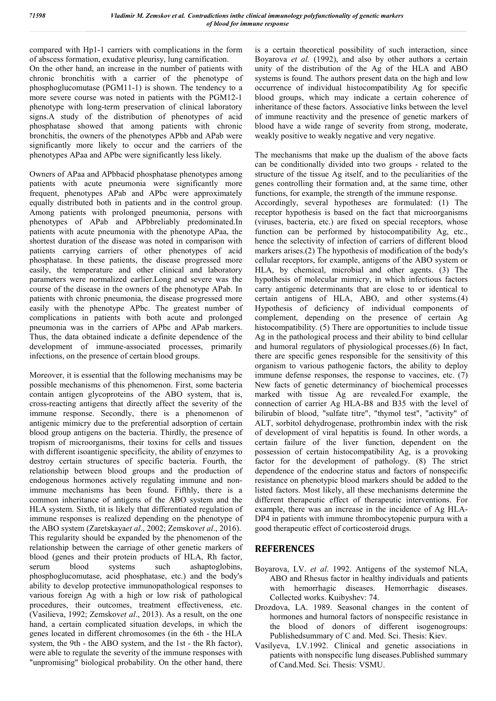compared with Hp1-1 carriers with complications in the form of abscess formation, exudative pleurisy, lung carnification.

On the other hand, an increase in the number of patients with chronic bronchitis with a carrier of the phenotype of phosphoglucomutase (PGM11-1) is shown. The tendency to a more severe course was noted in patients with the PGM12-1 phenotype with long-term preservation of clinical laboratory signs.A study of the distribution of phenotypes of acid phosphatase showed that among patients with chronic bronchitis, the owners of the phenotypes APbb and APab were significantly more likely to occur and the carriers of the phenotypes APaa and APbc were significantly less likely.

Owners of APaa and APbbacid phosphatase phenotypes among patients with acute pneumonia were significantly more frequent, phenotypes APab and APbc were approximately equally distributed both in patients and in the control group. Among patients with prolonged pneumonia, persons with phenotypes of APab and APbbreliably predominated.In patients with acute pneumonia with the phenotype APaa, the shortest duration of the disease was noted in comparison with patients carrying carriers of other phenotypes of acid phosphatase. In these patients, the disease progressed more easily, the temperature and other clinical and laboratory parameters were normalized earlier.Long and severe was the course of the disease in the owners of the phenotype APab. In patients with chronic pneumonia, the disease progressed more easily with the phenotype APbc. The greatest number of complications in patients with both acute and prolonged pneumonia was in the carriers of APbc and APab markers. Thus, the data obtained indicate a definite dependence of the development of immune-associated processes, primarily infections, on the presence of certain blood groups.

Moreover, it is essential that the following mechanisms may be possible mechanisms of this phenomenon. First, some bacteria contain antigen glycoproteins of the ABO system, that is, cross-reacting antigens that directly affect the severity of the immune response. Secondly, there is a phenomenon of antigenic mimicry due to the preferential adsorption of certain blood group antigens on the bacteria. Thirdly, the presence of tropism of microorganisms, their toxins for cells and tissues with different isoantigenic specificity, the ability of enzymes to destroy certain structures of specific bacteria. Fourth, the relationship between blood groups and the production of endogenous hormones actively regulating immune and nonimmune mechanisms has been found. Fifthly, there is a common inheritance of antigens of the ABO system and the HLA system. Sixth, tit is likely that differentiated regulation of immune responses is realized depending on the phenotype of the ABO system (Zaretskaya*et al*., 2002; Zemskov*et al*., 2016). This regularity should be expanded by the phenomenon of the relationship between the carriage of other genetic markers of blood (genes and their protein products of HLA, Rh factor, serum blood systems such ashaptoglobins, phosphoglucomutase, acid phosphatase, etc.) and the body's ability to develop protective immunopathological responses to various foreign Ag with a high or low risk of pathological procedures, their outcomes, treatment effectiveness, etc. (Vasilieva, 1992; Zemskov*et al*., 2013). As a result, on the one hand, a certain complicated situation develops, in which the genes located in different chromosomes (in the 6th - the HLA system, the 9th - the ABO system, and the 1st - the Rh factor), were able to regulate the severity of the immune responses with "unpromising" biological probability. On the other hand, there

is a certain theoretical possibility of such interaction, since Boyarova *et al.* (1992), and also by other authors a certain unity of the distribution of the Ag of the HLA and ABO systems is found. The authors present data on the high and low occurrence of individual histocompatibility Ag for specific blood groups, which may indicate a certain coherence of inheritance of these factors. Associative links between the level of immune reactivity and the presence of genetic markers of blood have a wide range of severity from strong, moderate, weakly positive to weakly negative and very negative.

The mechanisms that make up the dualism of the above facts can be conditionally divided into two groups - related to the structure of the tissue Ag itself, and to the peculiarities of the genes controlling their formation and, at the same time, other functions, for example, the strength of the immune response. Accordingly, several hypotheses are formulated: (1) The receptor hypothesis is based on the fact that microorganisms (viruses, bacteria, etc.) are fixed on special receptors, whose function can be performed by histocompatibility Ag, etc., hence the selectivity of infection of carriers of different blood markers arises.(2) The hypothesis of modification of the body's cellular receptors, for example, antigens of the ABO system or HLA, by chemical, microbial and other agents. (3) The hypothesis of molecular mimicry, in which infectious factors carry antigenic determinants that are close to or identical to certain antigens of HLA, ABO, and other systems.(4) Hypothesis of deficiency of individual components of complement, depending on the presence of certain Ag histocompatibility. (5) There are opportunities to include tissue Ag in the pathological process and their ability to bind cellular and humoral regulators of physiological processes.(6) In fact, there are specific genes responsible for the sensitivity of this organism to various pathogenic factors, the ability to deploy immune defense responses, the response to vaccines, etc. (7) New facts of genetic determinancy of biochemical processes marked with tissue Ag are revealed.For example, the connection of carrier Ag HLA-B8 and B35 with the level of bilirubin of blood, "sulfate titre", "thymol test", "activity" of ALT, sorbitol dehydrogenase, prothrombin index with the risk of development of viral hepatitis is found. In other words, a certain failure of the liver function, dependent on the possession of certain histocompatibility Ag, is a provoking factor for the development of pathology. (8) The strict dependence of the endocrine status and factors of nonspecific resistance on phenotypic blood markers should be added to the listed factors. Most likely, all these mechanisms determine the different therapeutic effect of therapeutic interventions. For example, there was an increase in the incidence of Ag HLA-DP4 in patients with immune thrombocytopenic purpura with a good therapeutic effect of corticosteroid drugs.

# **REFERENCES**

- Boyarova, LV. *et al*. 1992. Antigens of the systemof NLA, ABO and Rhesus factor in healthy individuals and patients with hemorrhagic diseases. Hemorrhagic diseases. Collected works. Kuibyshev: 74.
- Drozdova, LA. 1989. Seasonal changes in the content of hormones and humoral factors of nonspecific resistance in the blood of donors of different isogenogroups: Publishedsummary of C and. Med. Sci. Thesis: Kiev.
- Vasilyeva, LV.1992. Clinical and genetic associations in patients with nonspecific lung diseases.Published summary of Cand.Med. Sci. Thesis: VSMU.